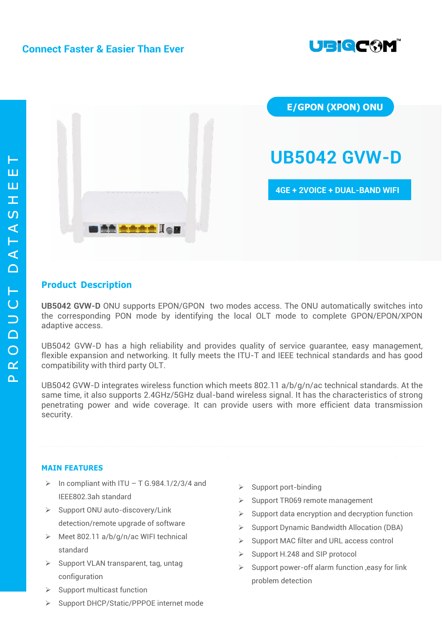



**E/GPON (XPON) ONU**

# **UB5042 GVW-D**

**4GE + 2VOICE + DUAL-BAND WIFI**

## **Product Description**

**UB5042 GVW-D** ONU supports EPON/GPON two modes access. The ONU automatically switches into the corresponding PON mode by identifying the local OLT mode to complete GPON/EPON/XPON adaptive access.

UB5042 GVW-D has a high reliability and provides quality of service guarantee, easy management, flexible expansion and networking. It fully meets the ITU-T and IEEE technical standards and has good compatibility with third party OLT.

UB5042 GVW-D integrates wireless function which meets 802.11 a/b/g/n/ac technical standards. At the same time, it also supports 2.4GHz/5GHz dual-band wireless signal. It has the characteristics of strong penetrating power and wide coverage. It can provide users with more efficient data transmission security.

## **MAIN FEATURES**

- In compliant with ITU T G.984.1/2/3/4 and IEEE802.3ah standard
- $\triangleright$  Support ONU auto-discovery/Link detection/remote upgrade of software
- $\triangleright$  Meet 802.11 a/b/g/n/ac WIFI technical standard
- $\triangleright$  Support VLAN transparent, tag, untag configuration
- $\triangleright$  Support multicast function
- ▶ Support DHCP/Static/PPPOE internet mode
- $\triangleright$  Support port-binding
- $\triangleright$  Support TR069 remote management
- $\triangleright$  Support data encryption and decryption function
- $\triangleright$  Support Dynamic Bandwidth Allocation (DBA)
- $\triangleright$  Support MAC filter and URL access control
- $\triangleright$  Support H.248 and SIP protocol
- $\triangleright$  Support power-off alarm function , easy for link problem detection